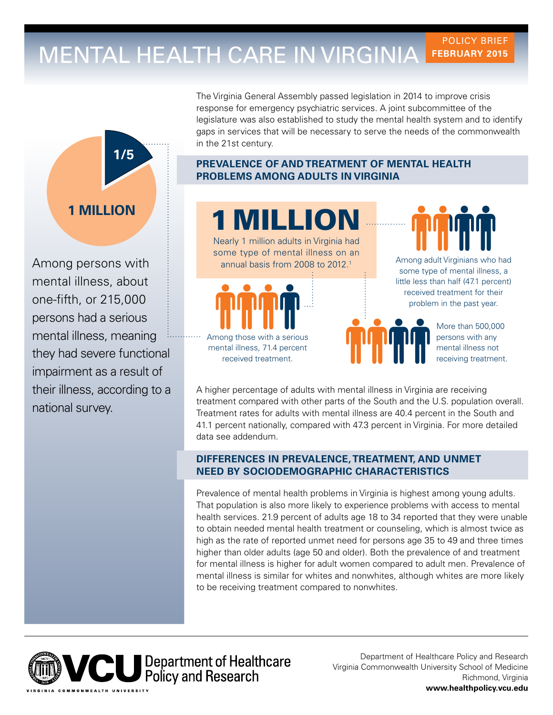# MENTAL HEALTH CARE IN VIRGINIA FEBRUARY 2015 **FEBRUARY 2015**



impairment as a result of Among persons with mental illness, about one-ffth, or 215,000 persons had a serious mental illness, meaning

The Virginia General Assembly passed legislation in 2014 to improve crisis response for emergency psychiatric services. A joint subcommittee of the legislature was also established to study the mental health system and to identify gaps in services that will be necessary to serve the needs of the commonwealth in the 21st century.

## **PREVALENCE OF AND TREATMENT OF MENTAL HEALTH PROBLEMS AMONG ADULTS IN VIRGINIA**



their illness, according to a A higher percentage of adults with mental illness in Virginia are receiving<br>treatment compared with other parts of the South and the U.S. population overall. treatment compared with other parts of the South and the U.S. population overallel the South and the U.S. population overall. Treatment rates for adults with mental illness are 40.4 percent in the South and 41.1 percent nationally, compared with 47.3 percent in Virginia. For more detailed data see addendum.

## **DIFFERENCES IN PREVALENCE, TREATMENT, AND UNMET NEED BY SOCIODEMOGRAPHIC CHARACTERISTICS**

Prevalence of mental health problems in Virginia is highest among young adults. That population is also more likely to experience problems with access to mental health services. 21.9 percent of adults age 18 to 34 reported that they were unable to obtain needed mental health treatment or counseling, which is almost twice as high as the rate of reported unmet need for persons age 35 to 49 and three times higher than older adults (age 50 and older). Both the prevalence of and treatment for mental illness is higher for adult women compared to adult men. Prevalence of mental illness is similar for whites and nonwhites, although whites are more likely to be receiving treatment compared to nonwhites.



Department of Healthcare Policy and Research Virginia Commonwealth University School of Medicine Richmond, Virginia **<www.healthpolicy.vcu.edu>**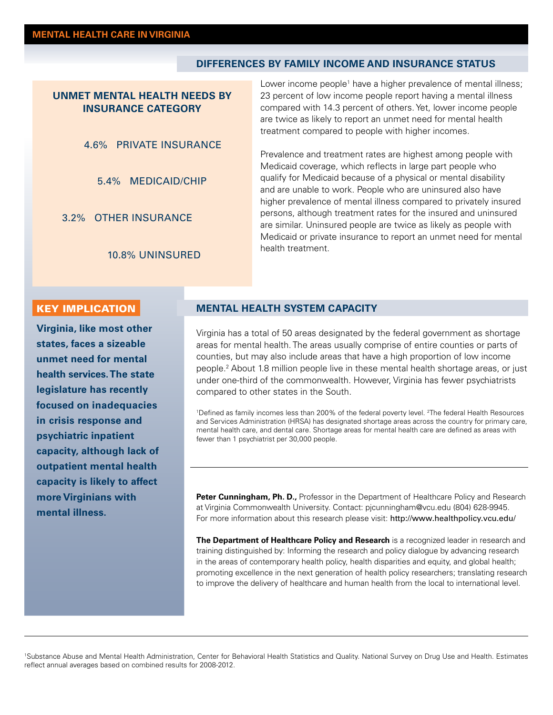#### **DIFFERENCES BY FAMILY INCOME AND INSURANCE STATUS**

### **UNMET MENTAL HEALTH NEEDS BY INSURANCE CATEGORY**

### 4.6% PRIVATE INSURANCE

5.4% MEDICAID/CHIP

3.2% OTHER INSURANCE

10.8% UNINSURED

Lower income people<sup>1</sup> have a higher prevalence of mental illness; 23 percent of low income people report having a mental illness compared with 14.3 percent of others. Yet, lower income people are twice as likely to report an unmet need for mental health treatment compared to people with higher incomes.

Prevalence and treatment rates are highest among people with Medicaid coverage, which refects in large part people who qualify for Medicaid because of a physical or mental disability and are unable to work. People who are uninsured also have higher prevalence of mental illness compared to privately insured persons, although treatment rates for the insured and uninsured are similar. Uninsured people are twice as likely as people with Medicaid or private insurance to report an unmet need for mental health treatment.

#### KEY IMPLICATION

 **health services. The state**  mental illness. **Virginia, like most other states, faces a sizeable unmet need for mental legislature has recently focused on inadequacies in crisis response and psychiatric inpatient capacity, although lack of outpatient mental health capacity is likely to affect more Virginians with MENTAL HEALTH SYSTEM CAPACITY**<br> **Virginia has a total of 50 areas designated by the federal government as shortage**<br> **States, faces a sizeable**<br> **MENTAL HEALTH SYSTEM CAPACITY**<br> **MENTAL HEALTH SYSTEM CAPACITY**<br> **MENTAL HE** 

### **MENTAL HEALTH SYSTEM CAPACITY**

areas for mental health. The areas usually comprise of entire counties or parts of counties, but may also include areas that have a high proportion of low income people.2 About 1.8 million people live in these mental health shortage areas, or just under one-third of the commonwealth. However, Virginia has fewer psychiatrists compared to other states in the South.

<sup>1</sup>Defined as family incomes less than 200% of the federal poverty level. <sup>2</sup>The federal Health Resources and Services Administration (HRSA) has designated shortage areas across the country for primary care, mental health care, and dental care. Shortage areas for mental health care are defned as areas with fewer than 1 psychiatrist per 30,000 people.

Peter Cunningham, Ph. D., Professor in the Department of Healthcare Policy and Research at Virginia Commonwealth University. Contact: [pjcunningham@vcu.edu](mailto:pjcunningham@vcu.edu) (804) 628-9945. For more information about this research please visit: [http://www.healthpolicy.vcu.edu/](http://www.healthpolicy.vcu.edu)

**The Department of Healthcare Policy and Research** is a recognized leader in research and training distinguished by: Informing the research and policy dialogue by advancing research in the areas of contemporary health policy, health disparities and equity, and global health; promoting excellence in the next generation of health policy researchers; translating research to improve the delivery of healthcare and human health from the local to international level.

1 Substance Abuse and Mental Health Administration, Center for Behavioral Health Statistics and Quality. National Survey on Drug Use and Health. Estimates reflect annual averages based on combined results for 2008-2012.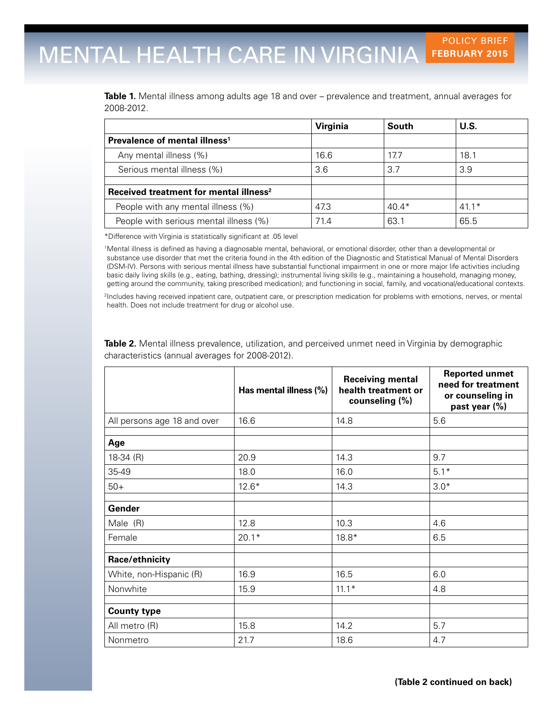# MENTAL HEALTH CARE IN VIRGINIA FEBRUARY 2015 **FEBRUARY 2015**

**Table 1.** Mental illness among adults age 18 and over – prevalence and treatment, annual averages for 2008-2012.

|                                                    | <b>Virginia</b> | South   | U.S.    |
|----------------------------------------------------|-----------------|---------|---------|
| Prevalence of mental illness <sup>1</sup>          |                 |         |         |
| Any mental illness (%)                             | 16.6            | 17.7    | 18.1    |
| Serious mental illness (%)                         | 3.6             | 3.7     | 3.9     |
| Received treatment for mental illness <sup>2</sup> |                 |         |         |
| People with any mental illness (%)                 | 47.3            | $40.4*$ | $41.1*$ |
| People with serious mental illness (%)             | 71.4            | 63.1    | 65.5    |

\*Difference with Virginia is statistically signifcant at .05 level

1Mental illness is defned as having a diagnosable mental, behavioral, or emotional disorder, other than a developmental or substance use disorder that met the criteria found in the 4th edition of the Diagnostic and Statistical Manual of Mental Disorders (DSM-IV). Persons with serious mental illness have substantial functional impairment in one or more major life activities including basic daily living skills (e.g., eating, bathing, dressing); instrumental living skills (e.g., maintaining a household, managing money, getting around the community, taking prescribed medication); and functioning in social, family, and vocational/educational contexts.

<sup>2</sup>Includes having received inpatient care, outpatient care, or prescription medication for problems with emotions, nerves, or mental health. Does not include treatment for drug or alcohol use.

|                             | Has mental illness (%) | <b>Receiving mental</b><br>health treatment or<br>counseling (%) | <b>Reported unmet</b><br>need for treatment<br>or counseling in<br>past year (%) |
|-----------------------------|------------------------|------------------------------------------------------------------|----------------------------------------------------------------------------------|
| All persons age 18 and over | 16.6                   | 14.8                                                             | 5.6                                                                              |
| Age                         |                        |                                                                  |                                                                                  |
| $18-34$ (R)                 | 20.9                   | 14.3                                                             | 9.7                                                                              |
| 35-49                       | 18.0                   | 16.0                                                             | $5.1*$                                                                           |
| $50+$                       | $12.6*$                | 14.3                                                             | $3.0*$                                                                           |
| Gender                      |                        |                                                                  |                                                                                  |
| Male (R)                    | 12.8                   | 10.3                                                             | 4.6                                                                              |
| Female                      | $20.1*$                | $18.8*$                                                          | 6.5                                                                              |
| Race/ethnicity              |                        |                                                                  |                                                                                  |
| White, non-Hispanic (R)     | 16.9                   | 16.5                                                             | 6.0                                                                              |
| Nonwhite                    | 15.9                   | $11.1*$                                                          | 4.8                                                                              |
| <b>County type</b>          |                        |                                                                  |                                                                                  |
| All metro (R)               | 15.8                   | 14.2                                                             | 5.7                                                                              |
| Nonmetro                    | 21.7                   | 18.6                                                             | 4.7                                                                              |

**Table 2.** Mental illness prevalence, utilization, and perceived unmet need in Virginia by demographic characteristics (annual averages for 2008-2012).